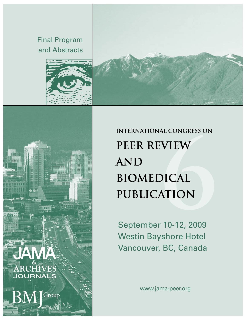Final Program and Abstracts







**INTERNATIONAL CONGRESS ON PEER REVIEW AND** BIOMEDICAL PUBLICATION

September 10-12, 2009 Westin Bayshore Hotel Vancouver, BC, Canada

www.jama-peer.org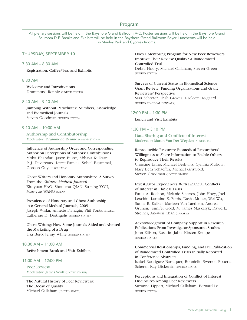# Program

All plenary sessions will be held in the Bayshore Grand Ballroom A-C. Poster sessions will be held in the Bayshore Grand Ballroom D-F. Breaks and Exhibits will be held in the Bayshore Grand Ballroom Foyer. Luncheons will be held in Stanley Park and Cypress Rooms.

## Thursday, September 10

### 7:30 AM – 8:30 AM

Registration, Coffee/Tea, and Exhibits

## 8:30 AM

Welcome and Introductions Drummond Rennie (UNITED STATES)

### 8:40 AM – 9:10 AM

Jumping Without Parachutes: Numbers, Knowledge and Biomedical Journals Steven Goodman (UNITED STATES)

# 9:10 AM – 10:30 AM

Authorship and Contributorship Moderator: Drummond Rennie (UNITED STATES)

Influence of Authorship Order and Corresponding Author on Perceptions of Authors' Contributions Mohit Bhandari, Jason Busse, Abhaya Kulkarni, P. J. Devereaux, Leece Pamela, Sohail Bajammal, Gordon Guyatt (CANADA)

Ghost Writers and Honorary Authorship: A Survey From the *Chinese Medical Journal*  Xiu-yuan HAO, Shou-chu QIAN, Su-ning YOU, Mou-yue WANG (China)

Prevalence of Honorary and Ghost Authorship in 6 General Medical Journals, 2009 Joseph Wislar, Annette Flanagin, Phil Fontanarosa, Catherine D. DeAngelis (UNITED STATES)

Ghost Writing: How Some Journals Aided and Abetted the Marketing of a Drug Lisa Bero, Jenny White (UNITED STATES)

## 10:30 AM – 11:00 AM

Refreshment Break and Visit Exhibits

## 11:00 AM – 12:00 PM

Peer Review Moderator: James Scott (UNITED STATES)

The Natural History of Peer Reviewers: The Decay of Quality Michael Callaham (UNITED STATES)

Does a Mentoring Program for New Peer Reviewers Improve Their Review Quality? A Randomized Controlled Trial

Debra Houry, Michael Callaham, Steven Green (United States)

Surveys of Current Status in Biomedical Science Grant Review: Funding Organizations and Grant Reviewers' Perspective

Sara Schroter, Trish Groves, Liselotte Højgaard (United Kingdom, Denmark)

#### 12:00 PM – 1:30 PM

Lunch and Visit Exhibits

## 1:30 PM – 3:10 PM

Data Sharing and Conflicts of Interest Moderator: Martin Van Der Weyden (Australia)

## Reproducible Research: Biomedical Researchers' Willingness to Share Information to Enable Others to Reproduce Their Results

Christine Laine, Michael Berkwits, Cynthia Mulrow, Mary Beth Schaeffer, Michael Griswold, Steven Goodman (UNITED STATES)

## Investigator Experiences With Financial Conflicts of Interest in Clinical Trials

Paula A. Rochon, Melanie Sekeres, John Hoey, Joel Lexchin, Lorraine E. Ferris, David Moher, Wei Wu, Sunila R. Kalkar, Marleen Van Laethem, Andrea Gruneir, Jennifer Gold, M. James Maskalyk, David L. Streiner, An-Wen Chan (CANADA)

Acknowledgment of Company Support in Research Publications From Investigator-Sponsored Studies John Ellison, Rosarito Jahn, Kirsten Kempe (UNITED STATES)

Commercial Relationships, Funding, and Full Publication of Randomized Controlled Trials Initially Reported in Conference Abstracts Isabel Rodriguez-Barraquer, Bonnielin Swenor, Roberta Scherer, Kay Dickersin (UNITED STATES)

## Perceptions and Integration of Conflict of Interest Disclosures Among Peer Reviewers Suzanne Lippert, Michael Callaham, Bernard Lo

(UNITED STATES)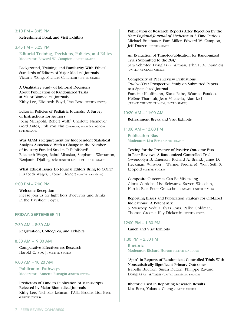## 3:10 PM – 3:45 PM

Refreshment Break and Visit Exhibits

3:45 PM – 5:25 PM

Editorial Training, Decisions, Policies, and Ethics Moderator: Edward W. Campion (UNITED STATES)

Background, Training, and Familiarity With Ethical Standards of Editors of Major Medical Journals Victoria Wong, Michael Callaham (UNITED STATES)

A Qualitative Study of Editorial Decisions About Publication of Randomized Trials at Major Biomedical Journals Kirby Lee, Elizabeth Boyd, Lisa Bero (UNITED STATES)

## Editorial Policies of Pediatric Journals: A Survey of Instructions for Authors

Joerg Meerpohl, Robert Wolff, Charlotte Niemeyer, Gerd Antes, Erik von Elm (Germany, United Kingdom, Switzerland)

Was *JAMA*'s Requirement for Independent Statistical Analysis Associated With a Change in the Number of Industry-Funded Studies It Published? Elizabeth Wager, Rahul Mhaskar, Stephanie Warburton, Benjamin Djulbegovic (UNITED KINGDOM, UNITED STATES)

What Ethical Issues Do Journal Editors Bring to COPE? Elizabeth Wager, Sabine Kleinert (UNITED KINGDOM)

# 6:00 PM – 7:00 PM

Welcome Reception Please join us for light hors d'oeuvres and drinks in the Bayshore Foyer.

#### Friday, September 11

7:30 AM – 8:30 AM

Registration, Coffee/Tea, and Exhibits

# 8:30 AM – 9:00 AM

Comparative Effectiveness Research Harold C. Sox Jr (UNITED STATES)

# 9:00 AM – 10:20 AM

Publication Pathways Moderator: Annette Flanagin (UNITED STATES)

# Predictors of Time to Publication of Manuscripts Rejected by Major Biomedical Journals

Kirby Lee, Nicholas Lehman, I'Alla Brodie, Lisa Bero (United States)

Publication of Research Reports After Rejection by the *New England Journal of Medicine* in 2 Time Periods Michael Bretthauer, Pam Miller, Edward W. Campion, **Jeff Drazen (UNITED STATES)** 

## An Evaluation of Time-to-Publication for Randomized Trials Submitted to the *BMJ*

Sara Schroter, Douglas G. Altman, John P. A. Ioannidis (United Kingdom, Greece)

Complexity of Peer Review Evaluations: Twelve-Year Prospective Study on Submitted Papers to a Specialized Journal Francine Kauffmann, Klaus Rabe, Béatrice Faraldo, Hélène Tharrault, Jean Maccario, Alan Leff (France, the Netherlands, United States)

## 10:20 AM – 11:00 AM

Refreshment Break and Visit Exhibits

11:00 AM – 12:00 PM

Publication Bias Moderator: Lisa Bero (UNITED STATES)

Testing for the Presence of Positive-Outcome Bias in Peer Review: A Randomized Controlled Trial Gwendolyn B. Emerson, Richard A. Brand, James D. Heckman, Winston J. Warme, Fredric M. Wolf, Seth S. Leopold (UNITED STATES)

#### Composite Outcomes Can Be Misleading

Gloria Cordoba, Lisa Schwartz, Steven Woloshin, Harold Bae, Peter Gøtzsche (DENMARK, UNITED STATES)

## Reporting Biases and Publication Strategy for Off-Label Indications: A Potent Mix

S. Swaroop Vedula, Ilyas Rona, Palko Goldman, Thomas Greene, Kay Dickersin (UNITED STATES)

### 12:00 PM – 1:30 PM

### Lunch and Visit Exhibits

1:30 PM – 2:30 PM Rhetoric Moderator: Richard Horton (UNITED KINGDOM)

"Spin" in Reports of Randomized Controlled Trials With Nonstatistically Significant Primary Outcomes Isabelle Boutron, Susan Dutton, Philippe Ravaud, Douglas G. Altman (UNITED KINGDOM, FRANCE)

Rhetoric Used in Reporting Research Results Lisa Bero, Yolanda Cheng (UNITED STATES)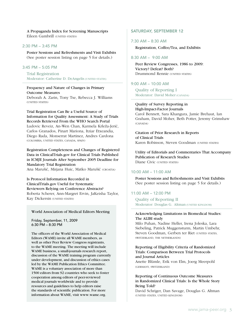A Propaganda Index for Screening Manuscripts Eileen Gambrill (UNITED STATES)

### 2:30 PM – 3:45 PM

Poster Sessions and Refreshments and Visit Exhibits (See poster session listing on page 5 for details.)

# 3:45 PM – 5:05 PM

Trial Registration Moderator: Catherine D. DeAngelis (UNITED STATES)

# Frequency and Nature of Changes in Primary Outcome Measures

Deborah A. Zarin, Tony Tse, Rebecca J. Williams (UNITED STATES)

Trial Registration Can Be a Useful Source of Information for Quality Assessment: A Study of Trials Records Retrieved From the WHO Search Portal Ludovic Reveiz, An-Wen Chan, Karmela Krleža-Jerić, Carlos Granados, Pinart Mariona, Itziar Etxeandia, Diego Rada, Monserrat Martinez, Andres Cardona (Colombia, United States, Canada, Spain)

Registration Completeness and Changes of Registered Data in ClinicalTrials.gov for Clinical Trials Published in ICMJE Journals After September 2005 Deadline for Mandatory Trial Registration

Ana Marušić, Mirjana Huic, Matko Marušić (CROATIA)

Is Protocol Information Recorded in ClinicalTrials.gov Useful for Systematic Reviewers Relying on Conference Abstracts? Roberta Scherer, Ann-Margret Ervin, JaKeisha Taylor, Kay Dickersin (UNITED STATES)

#### World Association of Medical Editors Meeting

Friday, September, 11, 2009 6:30 PM – 8:30 PM

The officers of the World Association of Medical Editors (WAME) invite all WAME members, as well as other Peer Review Congress registrants, to the WAME meeting. The meeting will include WAME business, a small-journals research report, discussion of the WAME training program currently under development, and discussion of ethics cases led by the WAME Publication Ethics Committee. WAME is a voluntary association of more than 1500 editors from 92 countries who seek to foster cooperation among editors of peer-reviewed medical journals worldwide and to provide resources and guidelines to help editors raise the standards of scientific publication. For more information about WAME, visit www.wame.org.

# SATURDAY, SEPTEMBER 12

## 7:30 AM – 8:30 AM

Registration, Coffee/Tea, and Exhibits

## 8:30 AM – 9:00 AM

Peer Review Congresses, 1986 to 2009: Victory? Defeat? Both? Drummond Rennie (UNITED STATES)

## 9:00 AM – 10:00 AM

Quality of Reporting I Moderator: David Moher (CANADA)

## Quality of Survey Reporting in

High-Impact-Factor Journals Carol Bennett, Sara Khangura, Jamie Brehaut, Ian Graham, David Moher, Beth Potter, Jeremy Grimshaw (Canada)

Citation of Prior Research in Reports of Clinical Trials Karen Robinson, Steven Goodman (UNITED STATES)

Utility of Editorials and Commentaries That Accompany Publication of Research Studies Diane Civic (UNITED STATES)

## 10:00 AM – 11:00 AM

Poster Sessions and Refreshments and Visit Exhibits (See poster session listing on page 5 for details.)

# 11:00 AM – 12:00 PM

Quality of Reporting II Moderator: Douglas G. Altman (UNITED KINGDOM)

## Acknowledging Limitations in Biomedical Studies: The ALIBI study

Milo Puhan, Nadine Heller, Irena Joleska, Lara Siebeling, Patrick Muggensturm, Martin Umbehr, Steven Goodman, Gerben ter Riet (UNITED STATES, Switzerland, the Netherlands)

# Reporting of Eligibility Criteria of Randomized Trials: Comparison Between Trial Protocols and Journal Articles

Anette Blümle, Erik von Elm, Joerg Meerpohl (Germany, Switzerland)

# Reporting of Continuous Outcome Measures in Randomized Clinical Trials: Is the Whole Story Being Told?

David Schriger, Dan Savage, Douglas G. Altman (United States, United Kingdom)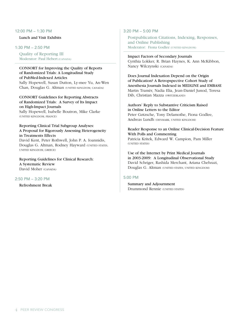# 12:00 PM – 1:30 PM

Lunch and Visit Exhibits

# 1:30 PM – 2:50 PM

Quality of Reporting III Moderator: Paul Hebert (CANADA)

## CONSORT for Improving the Quality of Reports of Randomized Trials: A Longitudinal Study of PubMed-Indexed Articles Sally Hopewell, Susan Dutton, Ly-mee Yu, An-Wen

Chan, Douglas G. Altman (UNITED KINGDOM, CANADA)

CONSORT Guidelines for Reporting Abstracts of Randomized Trials: A Survey of Its Impact on High-Impact Journals Sally Hopewell, Isabelle Boutron, Mike Clarke (United Kingdom, France)

# Reporting Clinical Trial Subgroup Analyses: A Proposal for Rigorously Assessing Heterogeneity in Treatments Effects

David Kent, Peter Rothwell, John P. A. Ioannidis, Douglas G. Altman, Rodney Hayward (UNITED STATES, United Kingdom, Greece)

Reporting Guidelines for Clinical Research: A Systematic Review David Moher (CANADA)

2:50 PM – 3:20 PM

Refreshment Break

# 3:20 PM – 5:00 PM

Postpublication Citations, Indexing, Responses, and Online Publishing Moderator: Fiona Godlee (UNITED KINGDOM)

Impact Factors of Secondary Journals Cynthia Lokker, R. Brian Haynes, K. Ann McKibbon, Nancy Wilczynski (Canada)

Does Journal Indexation Depend on the Origin of Publication? A Retropspective Cohort Study of Anesthesia Journals Indexed in MEDLINE and EMBASE Martin Tramèr, Nadia Elia, Jean-Daniel Junod, Teresa Dib, Christian Mazza (SWITZERLAND)

Authors' Reply to Substantive Criticism Raised in Online Letters to the Editor Peter Gøtzsche, Tony Delamothe, Fiona Godlee, Andreas Lundh (DENMARK, UNITED KINGDOM)

Reader Response to an Online Clinical-Decision Feature With Polls and Commenting Patricia Kritek, Edward W. Campion, Pam Miller

(UNITED STATES)

Use of the Internet by Print Medical Journals in 2003-2009: A Longitudinal Observational Study David Schriger, Rashida Merchant, Ariana Chehrazi, Douglas G. Altman (UNITED STATES, UNITED KINGDOM)

# 5:00 PM

Summary and Adjournment Drummond Rennie (UNITED STATES)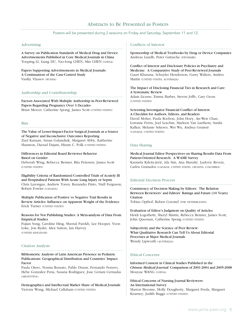# Abstracts to Be Presented as Posters

## Posters will be presented during 2 sessions on Friday and Saturday, September 11 and 12.

#### Advertising

A Survey on Publication Standards of Medical Drug and Device Advertisements Published in Core Medical Journals in China Youping LI, Liang DU, Yao-long CHEN, Min CHEN (CHINA)

Papers Supporting Advertisements in Medical Journals: A Continuation of the Case-Control Study Vasiliy Vlassov (Russia)

### Authorship and Contributorship

Factors Associated With Multiple Authorship in Peer-Reviewed Papers Regarding Pregnancy Over 3 Decades Brian Mercer, Catherine Spong, James Scott (UNITED STATES)

#### Bias

The Value of Lesser-Impact-Factor Surgical Journals as a Source of Negative and Inconclusive Outcomes Reporting Ziad Kanaan, Susan Galandiuk, Margaret Abby, Katherine Shannon, Daoud Dajani, Hiram C. Polk (UNITED STATES)

## Differences in Editorial Board Reviewer Behavior Based on Gender

Deborah Wing, Rebecca Benner, Rita Petersen, James Scott (UNITED STATES)

Eligibility Criteria of Randomized Controlled Trials of Acutely Ill and Hospitalized Patients With Acute Lung Injury or Sepsis Chris Lazongas, Andrew Toren, Ruxandra Pinto, Niall Ferguson, Robert Fowler (CANADA)

Multiple Publication of Positive vs Negative Trial Results in Review Articles: Influence on Apparent Weight of the Evidence Erick Turner (UNITED STATES)

#### Reasons for Not Publishing Studies: A Meta-analysis of Data From Empirical Studies

Fujian Song, Caroline Hing, Sheetal Parekh, Lee Hooper, Yoon Loke, Jon Ryder, Alex Sutton, Ian Harvey (United Kingdom)

#### Citation Analysis

Bibliometric Analysis of Latin American Presence in Pediatric Publications: Geographical Distribution and Countries' Impact Factor

Paula Otero, Norma Rossato, Pablo Duran, Fernando Ferrero, Hebe Gonzalez Pena, Susana Rodriguez, Jose Ceriani Cernadas (Argentina)

Demographics and Intellectual Market Share of Medical Journals Victoria Wong, Michael Callaham (UNITED STATES)

## Conflicts of Interest

Sponsorship of Medical Textbooks by Drug or Device Companies Andreas Lundh, Peter Gøtzsche (Denmark)

Conflict of Interest and Disclosure Policies in Psychiatry and Medicine: A Comparative Study of Peer-Reviewed Journals Gauri Khurana, Schuyler Henderson, Garry Walters, Andres Martin (UNITED STATES, AUSTRALIA)

The Impact of Disclosing Financial Ties in Research and Care: A Systematic Review

Adam Licurse, Emma Barber, Steven Joffe, Cary Gross (United States)

#### Screening Investigator Financial Conflict of Interest: A Checklist for Authors, Editors, and Readers

David Moher, Paula Rochon, John Hoey, An-Wen Chan, Lorraine Ferris, Joel Lexchin, Marleen Van Laethem, Sunila Kalkar, Melanie Sekeres, Wei Wu, Andrea Gruneir (Canada, United States)

## Data Sharing

#### Medical Journal Editor Perspectives on Sharing Results Data From Patient-Oriented Research: A WAME Survey

Karmela Krleža-Jerić, Ida Sim, Ana Marušić, Ludovic Reveiz, Carlos Granados (Canada, United States, Croatia, Colombia)

## Editorial Decision Process

Consistency of Decision Making by Editors: The Relation Between Reviewers' and Editors' Ratings and Future (10 Years) Citation

Tobias Opthof, Ruben Coronel (THE NETHERLANDS)

Evaluation of Editor's Judgment on Quality of Articles Heidi Logothetti, Sheryl Martin, Rebecca Benner, James Scott, John Queenan, Catherine Spong (UNITED STATES)

Subjectivity and the Science of Peer Review: What Qualitative Research Can Tell Us About Editorial Processes at Major Medical Journals Wendy Lipworth (Australia)

## Ethical Concerns

Informed Consent in Clinical Studies Published in the *Chinese Medical Journal*: Comparison of 2001-2004 and 2005-2008 Mouyue WANG (China)

Ethical Concerns of Nursing Journal Reviewers: An International Survey Marion Broome, Molly Dougherty, Margaret Freda, Margaret Kearney, Judith Baggs (UNITED STATES)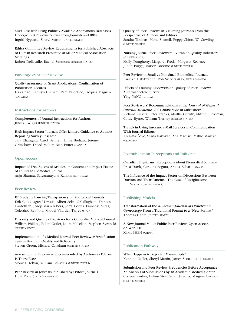Must Research Using Publicly Available Anonymous Databases Undergo IRB Review? Views From Journals and IRBs Ingrid Nygaard, Sheryl Martin (UNITED STATES)

Ethics Committee Review Requirements for Published Abstracts of Human Research Presented at Major Medical Association Meetings

Robert Dellavalle, Rachel Simmons (UNITED STATES)

### Funding/Grant Peer Review

Quality Assurance of Grant Applications: Confirmation of Publication Records Liza Chan, Kathryn Graham, Pam Valentine, Jacques Magnan (CANADA)

## Instructions for Authors

Completeness of Journal Instructions for Authors Jane C. Wiggs (UNITED STATES)

High-Impact-Factor Journals Offer Limited Guidance to Authors Reporting Survey Research Sara Khangura, Carol Bennett, Jamie Brehaut, Jeremy Grimshaw, David Moher, Beth Potter (Canada)

### Open Access

Impact of Free Access of Articles on Content and Impact Factor of an Indian Biomedical Journal Anju Sharma, Satyanarayana Kanikaram (INDIA)

#### Peer Review

ET Study: Enhancing Transparency of Biomedical Journals Erik Cobo, Agustí Urrutia, Albert Selva-O'Callagham, Francesc Cardellach, Josep Maria Ribera, Jordi Cortés, Francesc Miras, Celestino Rey-Joly, Miquel Vilardell-Tarres (Spain)

Diversity and Quality of Reviews for a Generalist Medical Journal William Phillips, Robin Gotler, Laura McLellan, Stephen Zyzanski (United States)

Implementation of a Medical Journal Peer Reviewer Stratification System Based on Quality and Reliability Steven Green, Michael Callaham (UNITED STATES)

Assessment of Reviewers Recommended by Authors vs Editors: Is There Bias? Monica Helton, William Balistreri (UNITED STATES)

Peer Review in Journals Published by Oxford Journals Huw Price (UNITED KINGDOM)

Quality of Peer Reviews in 3 Nursing Journals From the Perspective of Authors and Editors Sandra Thomas, Mona Shattell, Peggy Chinn, W. Cowling (United States)

Nursing Journal Peer Reviewers' Views on Quality Indicators in Publishing

Molly Dougherty, Margaret Freda, Margaret Kearney, Judith Baggs, Marion Broome (UNITED STATES)

Peer Review in Small vs Non-Small Biomedical Journals Farrokh Habibzadeh, Rob Siebers (Iran, New Zealand)

Effects of Training Reviewers on Quality of Peer Review: A Retrospective Survey Ying YANG (CHINA)

Peer Reviewers' Recommendations at the *Journal of General Internal Medicine,* 2004-2008: Style or Substance? Richard Kravitz, Peter Franks, Martha Gerrity, Mitchell Feldman, Cindy Byrne, William Tierney (UNITED STATES)

Trends in Using Insecure e-Mail Services in Communication With Journal Editors

Krešimir Šolić, Vesna Ilakovac, Ana Marušić, Matko Marušić (Croatia)

### Postpublication Perceptions and Influence

Canadian Physicians' Perceptions About Biomedical Journals Erica Frank, Carolina Segura, Ariella Zabar (Canada)

The Influence of the Impact Factor on Discussions Between Doctors and Their Patients: The Case of Rosiglitazone Jim Nuovo (United States)

# Publishing Models

Transformation of the A*merican Journal of Obstetrics & Gynecology* From a Traditional Format to a "New Format" Thomas Garite (UNITED STATES)

A New Journal Mode: Public Peer Review, Open Access on Web 2.0 Xibin SHEN (China)

### Publication Pathway

What Happens to Rejected Manuscripts? Kenneth Noller, Sheryl Martin, James Scott (UNITED STATES)

Submission and Peer Review Frequencies Before Acceptance: An Analysis of Submissions by an Academic Medical Center Colleen Sauber, LeAnn Stee, Sarah Jenkins, Margery Lovejoy (UNITED STATES)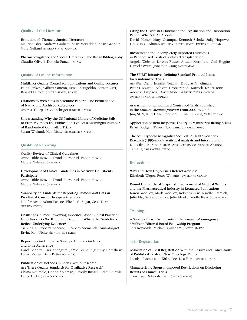### Quality of the Literature

Evolution of Thoracic Surgical Literature Maurice Blitz, Andrew Graham, Sean McFadden, Sean Grondin, Gary Gelfand (UNITED STATES, CANADA)

Pharmacovigilance and "Local" Literature: The Italian Bibliography Claudio Oliveri, Daniela Ranzani (ITALY)

### Quality of Online Information

Multilayer Quality Control for Publications and Online Lectures Faina Linkov, Gilbert Omenn, Ismail Serageldin, Vinton Cerf, Ronald LaPorte (UNITED STATES, EGYPT)

Citations to Web Sites in Scientific Papers: The Permanence of Native and Archived References Andrea Thorp, David Schriger (UNITED STATES)

Understanding Why the US National Library of Medicine Fails to Properly Index the Publication Type of a Meaningful Number of Randomized Controlled Trials Susan Wieland, Kay Dickersin (UNITED STATES)

## Quality of Reporting

Quality Review of Clinical Guidelines Anne Hilde Rosvik, Trond Bjornerud, Espen Movik, Magne Nylenna (Norway)

#### Development of Clinical Guidelines in Norway: Do Patients Participate?

Anne Hilde Rosvik, Trond Bjornerud, Espen Movik, Magne Nylenna (Norway)

## Variability of Standards for Reporting Tumor-Graft Data in Preclinical Cancer Therapeutic Studies

Nilofer Azad, Adam Pascoe, Elizabeth Sugar, Scott Kern (UNITED STATES)

## Challenges in Peer Reviewing Evidence-Based Clinical Practice Guidelines: Do We Know the Degree to Which the Guidelines Reflect Underlying Evidence?

Tianjing Li, Roberta Scherer, Elizabeth Ssemanda, Ann-Margret Ervin, Kay Dickersin (UNITED STATES)

#### Reporting Guidelines for Surveys: Limited Guidance and Little Adherence

Carol Bennett, Sara Khangura, Jamie Brehaut, Jeremy Grimshaw, David Moher, Beth Potter (CANADA)

Publication of Methods in Focus Group Research: Are There Quality Standards for Qualitative Research? Chima Ndumele, Genna Ableman, Beverly Russell, Edith Gurrola, LeRoi Hicks (UNITED STATES)

## Citing the CONSORT Statement and Explanation and Elaboration Paper: What's It All About?

David Moher, Mary Ocampo, Kenneth Schulz, Sally Hopewell, Douglas G. Altman (CANADA, UNITED STATES, UNITED KINGDOM)

#### Inconsistent and Incompletely Reported Outcomes in Randomized Trials of Kidney Transplantation

Angela Webster, Lorenn Ruster, Alistair Merrifield, Gail Higgins, Daniel Owers, Jonathan Craig (Australia)

### The SPIRIT Initiative: Defining Standard Protocol Items for Randomized Trials

An-Wen Chan, Jennifer Tetzlaff, Douglas G. Altman, Peter Gøtzsche, Asbjørn Hróbjartsson, Karmela Krleža-Jerić, Andreas Laupacis, David Moher (United States, Canada, United Kingdom, Denmark)

Assessment of Randomized Controlled Trials Published in the *Chinese Medical Journal* From 2007 to 2008 Jing SUN, Kun HAN, Shou-chu QIAN, Su-ning YOU (China)

Application of Item Response Theory to Manuscript Rating Scales Brian Budgell, Takeo Nakayama (Canada, Japan)

The Null Hypothesis Significance Test in Health Sciences Research (1995-2006): Statistical Analysis and Interpretation Luis Silva, Patricio Suarez, Ana Fernandez, Vanesa Alvarez, Tania Iglesias (Cuba, Spain)

### **Retractions**

Why and How Do Journals Retract Articles? Elizabeth Wager, Peter Williams (UNITED KINGDOM)

Round Up the Usual Suspects? Involvement of Medical Writers and the Pharmaceutical Industry in Retracted Publications Karen Woolley, Mark Woolley, Rebecca Lew, Narelle Bramich, Julie Ely, Serina Stretton, Julie Monk, Janelle Keys (Australia)

#### **Training**

A Survey of Past Participants in the *Annals of Emergency Medicine* Editorial Board Fellowship Program Teri Reynolds, Michael Callaham (UNITED STATES)

## Trial Registration

Association of Trial Registration With the Results and Conclusions of Published Trials of New Oncology Drugs Nicolas Rasmussen, Kirby Lee, Lisa Bero (UNITED STATES)

Characterizing Sponsor-Imposed Restrictions on Disclosing Results of Clinical Trials Tony Tse, Deborah Zarin (UNITED STATES)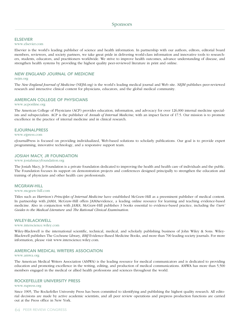### **ELSEVIER**

#### www.elsevier.com

Elsevier is the world's leading publisher of science and health information. In partnership with our authors, editors, editorial board members, reviewers, and society partners, we take great pride in delivering world-class information and innovative tools to researchers, students, educators, and practitioners worldwide. We strive to improve health outcomes, advance understanding of disease, and strengthen health systems by providing the highest quality peer-reviewed literature in print and online.

### *New England Journal of Medicine*

#### nejm.org

The *New England Journal of Medicine* (NEJM.org) is the world's leading medical journal and Web site. *NEJM* publishes peer-reviewed research and interactive clinical content for physicians, educators, and the global medical community.

## American College of Physicians

#### www.acponline.org

The American College of Physicians (ACP) provides education, information, and advocacy for over 126,000 internal medicine specialists and subspecialists. ACP is the publisher of *Annals of Internal Medicine*, with an impact factor of 17.5. Our mission is to promote excellence in the practice of internal medicine and in clinical research.

#### eJournalPress

#### www.ejpress.com

eJournalPress is focused on providing individualized, Web-based solutions to scholarly publications. Our goal is to provide expert programming, innovative technology, and a responsive support team.

## JOSIAH MACY, JR FOUNDATION

### www.josiahmacyfoundation.org

The Josiah Macy, Jr Foundation is a private foundation dedicated to improving the health and health care of individuals and the public. The Foundation focuses its support on demonstration projects and conferences designed principally to strengthen the education and training of physicians and other health care professionals.

#### McGraw-Hill

#### www.mcgraw-hill.com

Titles such as *Harrison's Principles of Internal Medicine* have established McGraw-Hill as a preeminent publisher of medical content. In partnership with *JAMA*, McGraw-Hill offers JAMAevidence, a leading online resource for learning and teaching evidence-based medicine. Also in conjunction with *JAMA*, McGraw-Hill publishes 3 books essential to evidence-based practice, including the *Users' Guides to the Medical Literature* and *The Rational Clinical Examination*.

#### WILEY-BLACKWELL

#### www.interscience.wiley.com

Wiley-Blackwell is the international scientific, technical, medical, and scholarly publishing business of John Wiley & Sons. Wiley-Blackwell publishes The Cochrane Library, *BMJ* Evidence-Based Medicine Books, and more than 700 leading society journals. For more information, please visit www.interscience.wiley.com.

### American Medical Writers Association

#### www.amwa.org

The American Medical Writers Association (AMWA) is the leading resource for medical communicators and is dedicated to providing education and promoting excellence in the writing, editing, and production of medical communications. AMWA has more than 5,500 members engaged in the medical or allied health professions and sciences throughout the world.

#### Rockefeller University Press

#### www.rupress.org

Since 1905, The Rockefeller University Press has been committed to identifying and publishing the highest quality research. All editorial decisions are made by active academic scientists, and all peer review operations and prepress production functions are carried out at the Press office in New York.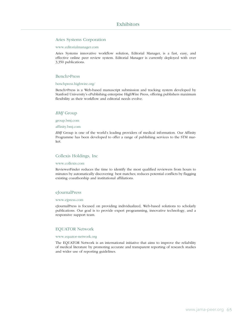## Aries Systems Corporation

#### www.editorialmanager.com

Aries Systems innovative workflow solution, Editorial Manager, is a fast, easy, and effective online peer review system. Editorial Manager is currently deployed with over 3,350 publications.

#### Bench>Press

#### benchpress.highwire.org/

Bench>Press is a Web-based manuscript submission and tracking system developed by Stanford University's ePublishing enterprise HighWire Press, offering publishers maximum flexibility as their workflow and editorial needs evolve.

## *BMJ* Group

group.bmj.com

#### affinity.bmj.com

*BMJ* Group is one of the world's leading providers of medical information. Our Affinity Programme has been developed to offer a range of publishing services to the STM market.

## Collexis Holdings, Inc

#### www.collexis.com

ReviewerFinder reduces the time to identify the most qualified reviewers from hours to minutes by automatically discovering best matches; reduces potential conflicts by flagging existing coauthorship and institutional affiliations.

#### eJournalPress

#### www.ejpress.com

eJournalPress is focused on providing individualized, Web-based solutions to scholarly publications. Our goal is to provide expert programming, innovative technology, and a responsive support team.

#### EQUATOR Network

#### www.equator-network.org

The EQUATOR Network is an international initiative that aims to improve the reliability of medical literature by promoting accurate and transparent reporting of research studies and wider use of reporting guidelines.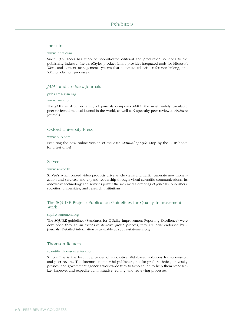#### Inera Inc

www.inera.com

Since 1992, Inera has supplied sophisticated editorial and production solutions to the publishing industry. Inera's eXtyles product family provides integrated tools for Microsoft Word and content management systems that automate editorial, reference linking, and XML production processes.

## *JAMA* and *Archives* Journals

pubs.ama-assn.org

www.jama.com

The *JAMA* & *Archives* family of journals comprises *JAMA*, the most widely circulated peer-reviewed medical journal in the world, as well as 9 specialty peer-reviewed *Archives* Journals.

#### Oxford University Press

#### www.oup.com

Featuring the new online version of the *AMA Manual of Style*. Stop by the OUP booth for a test drive!

#### SciVee

#### www.scivee.tv

SciVee's synchronized video products drive article views and traffic, generate new monetization and services, and expand readership through visual scientific communications. Its innovative technology and services power the rich media offerings of journals, publishers, societies, universities, and research institutions.

## The SQUIRE Project: Publication Guidelines for Quality Improvement Work

#### squire-statement.org

The SQUIRE guidelines (Standards for QUality Improvement Reporting Excellence) were developed through an extensive iterative group process; they are now endorsed by 7 journals. Detailed information is available at squire-statement.org.

#### Thomson Reuters

#### scientific.thomsonreuters.com

ScholarOne is the leading provider of innovative Web-based solutions for submission and peer review. The foremost commercial publishers, not-for-profit societies, university presses, and government agencies worldwide turn to ScholarOne to help them standardize, improve, and expedite administrative, editing, and reviewing processes.